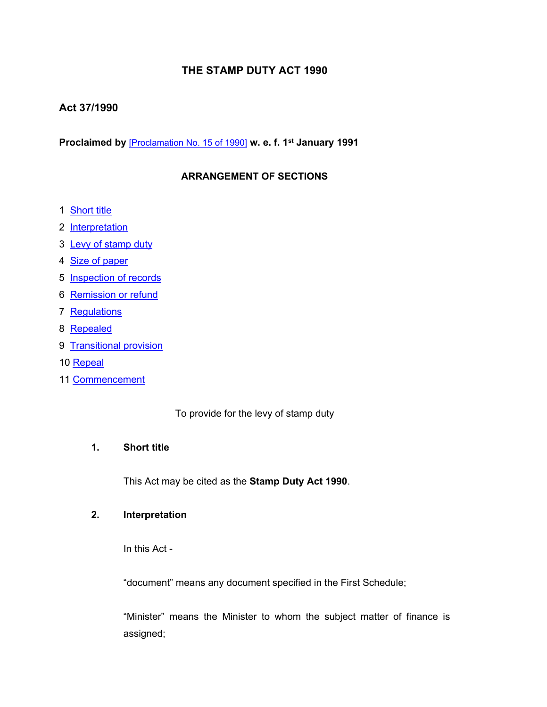# **THE STAMP DUTY ACT 1990**

## **Act 37/1990**

**Proclaimed by** [\[Proclamation](https://supremecourt.govmu.org/_layouts/CLIS.DMS/search/searchdocumentbykey.aspx?ID=%5BProclamation%20No.%2015%20of%201990%5D&list=Legislations) No. 15 of 1990] **w. e. f. 1 st January 1991**

## **ARRANGEMENT OF SECTIONS**

- 1 [Short](#page-0-0) title
- 2 [Interpretation](#page-0-1)
- 3 Levy of [stamp](#page-1-0) duty
- 4 Size of [paper](#page-1-1)
- 5 [Inspection](#page-2-0) of records
- 6 [Remission](#page-2-1) or refund
- 7 [Regulations](#page-3-0)
- 8 [Repealed](#page-3-1)
- 9 [Transitional](#page-3-2) provision
- 10 [Repeal](#page-3-3)
- 11 [Commencement](#page-4-0)

<span id="page-0-0"></span>To provide for the levy of stamp duty

## **1. Short title**

<span id="page-0-1"></span>This Act may be cited as the **Stamp Duty Act 1990**.

#### **2. Interpretation**

In this Act -

"document" means any document specified in the First Schedule;

"Minister" means the Minister to whom the subject matter of finance is assigned;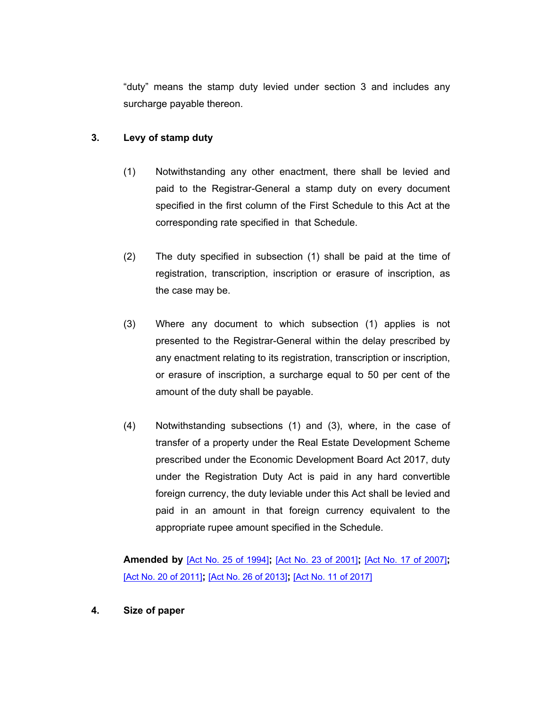"duty" means the stamp duty levied under section 3 and includes any surcharge payable thereon.

#### **3. Levy of stamp duty**

- <span id="page-1-0"></span>(1) Notwithstanding any other enactment, there shall be levied and paid to the Registrar-General a stamp duty on every document specified in the first column of the First Schedule to this Act at the corresponding rate specified in that Schedule.
- (2) The duty specified in subsection (1) shall be paid at the time of registration, transcription, inscription or erasure of inscription, as the case may be.
- (3) Where any document to which subsection (1) applies is not presented to the Registrar-General within the delay prescribed by any enactment relating to its registration, transcription or inscription, or erasure of inscription, a surcharge equal to 50 per cent of the amount of the duty shall be payable.
- (4) Notwithstanding subsections (1) and (3), where, in the case of transfer of a property under the Real Estate Development Scheme prescribed under the Economic Development Board Act 2017, duty under the Registration Duty Act is paid in any hard convertible foreign currency, the duty leviable under this Act shall be levied and paid in an amount in that foreign currency equivalent to the appropriate rupee amount specified in the Schedule.

**Amended by** [Act No. 25 of [1994\]](https://supremecourt.govmu.org/_layouts/CLIS.DMS/search/searchdocumentbykey.aspx?ID=%5BAct%20No.%2025%20of%201994%5D&list=Legislations)**;** [Act No. 23 of [2001\]](https://supremecourt.govmu.org/_layouts/CLIS.DMS/search/searchdocumentbykey.aspx?ID=%5BAct%20No.%2023%20of%202001%5D&list=Legislations)**;** [Act No. 17 of [2007\]](https://supremecourt.govmu.org/_layouts/CLIS.DMS/search/searchdocumentbykey.aspx?ID=%5BAct%20No.%2017%20of%202007%5D&list=Legislations)**;** [Act No. 20 of [2011\]](https://supremecourt.govmu.org/_layouts/CLIS.DMS/search/searchdocumentbykey.aspx?ID=%5BAct%20No.%2020%20of%202011%5D&list=Legislations)**;** [Act No. 26 of [2013\]](https://supremecourt.govmu.org/_layouts/CLIS.DMS/search/searchdocumentbykey.aspx?ID=%5BAct%20No.%2026%20of%202013%5D&list=Legislations)**;** [Act No. 11 of [2017\]](https://supremecourt.govmu.org/_layouts/CLIS.DMS/search/searchdocumentbykey.aspx?ID=%5BAct%20No.%2011%20of%202017%5D&list=Legislations)

<span id="page-1-1"></span>**4. Size of paper**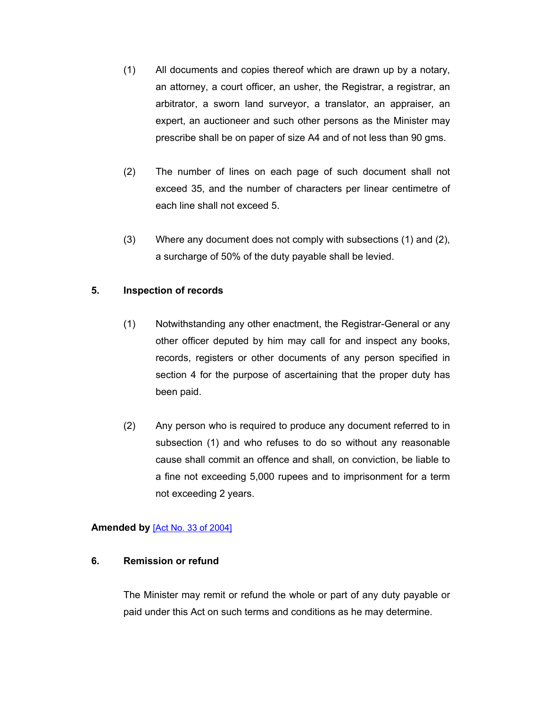- (1) All documents and copies thereof which are drawn up by a notary, an attorney, a court officer, an usher, the Registrar, a registrar, an arbitrator, a sworn land surveyor, a translator, an appraiser, an expert, an auctioneer and such other persons as the Minister may prescribe shall be on paper of size A4 and of not less than 90 gms.
- (2) The number of lines on each page of such document shall not exceed 35, and the number of characters per linear centimetre of each line shall not exceed 5.
- (3) Where any document does not comply with subsections (1) and (2), a surcharge of 50% of the duty payable shall be levied.

## **5. Inspection of records**

- <span id="page-2-0"></span>(1) Notwithstanding any other enactment, the Registrar-General or any other officer deputed by him may call for and inspect any books, records, registers or other documents of any person specified in section 4 for the purpose of ascertaining that the proper duty has been paid.
- (2) Any person who is required to produce any document referred to in subsection (1) and who refuses to do so without any reasonable cause shall commit an offence and shall, on conviction, be liable to a fine not exceeding 5,000 rupees and to imprisonment for a term not exceeding 2 years.

#### **Amended by** [Act No. 33 of [2004\]](https://supremecourt.govmu.org/_layouts/CLIS.DMS/search/searchdocumentbykey.aspx?ID=%5BAct%20No.%2033%20of%202004%5D&list=Legislations)

#### **6. Remission or refund**

<span id="page-2-1"></span>The Minister may remit or refund the whole or part of any duty payable or paid under this Act on such terms and conditions as he may determine.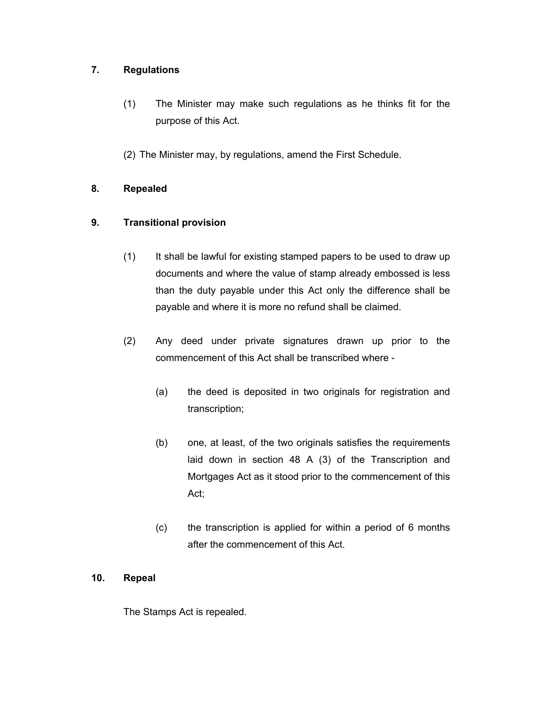## **7. Regulations**

- <span id="page-3-0"></span>(1) The Minister may make such regulations as he thinks fit for the purpose of this Act.
- <span id="page-3-1"></span>(2) The Minister may, by regulations, amend the First Schedule.

## **8. Repealed**

## **9. Transitional provision**

- <span id="page-3-2"></span>(1) It shall be lawful for existing stamped papers to be used to draw up documents and where the value of stamp already embossed is less than the duty payable under this Act only the difference shall be payable and where it is more no refund shall be claimed.
- (2) Any deed under private signatures drawn up prior to the commencement of this Act shall be transcribed where -
	- (a) the deed is deposited in two originals for registration and transcription;
	- (b) one, at least, of the two originals satisfies the requirements laid down in section 48 A (3) of the Transcription and Mortgages Act as it stood prior to the commencement of this Act;
	- (c) the transcription is applied for within a period of 6 months after the commencement of this Act.

#### **10. Repeal**

<span id="page-3-3"></span>The Stamps Act is repealed.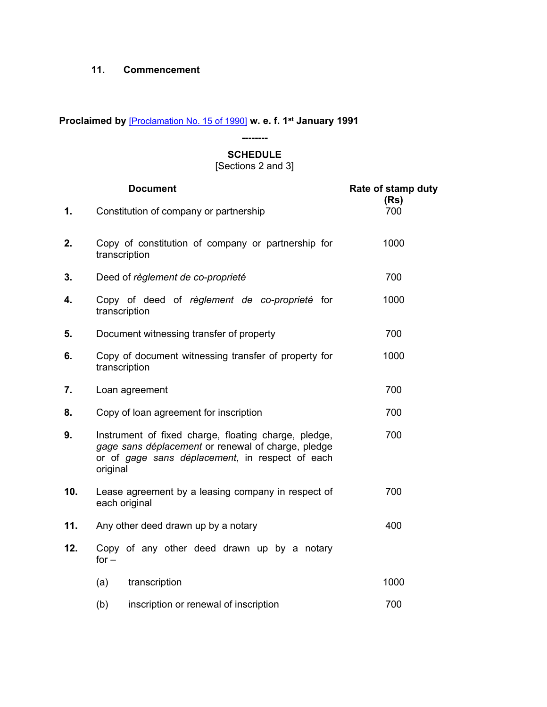#### <span id="page-4-0"></span>**11. Commencement**

**Proclaimed by** [\[Proclamation](https://supremecourt.govmu.org/_layouts/CLIS.DMS/search/searchdocumentbykey.aspx?ID=%5BProclamation%20No.%2015%20of%201990%5D&list=Legislations) No. 15 of 1990] **w. e. f. 1 st January 1991**

## **-------- SCHEDULE**

[Sections 2 and 3]

|     | <b>Document</b>                                                                                                                                                           | Rate of stamp duty |  |
|-----|---------------------------------------------------------------------------------------------------------------------------------------------------------------------------|--------------------|--|
| 1.  | Constitution of company or partnership                                                                                                                                    | (Rs)<br>700        |  |
| 2.  | Copy of constitution of company or partnership for<br>transcription                                                                                                       | 1000               |  |
| 3.  | Deed of règlement de co-proprieté                                                                                                                                         | 700                |  |
| 4.  | Copy of deed of règlement de co-proprieté for<br>transcription                                                                                                            | 1000               |  |
| 5.  | Document witnessing transfer of property                                                                                                                                  | 700                |  |
| 6.  | Copy of document witnessing transfer of property for<br>transcription                                                                                                     | 1000               |  |
| 7.  | 700<br>Loan agreement                                                                                                                                                     |                    |  |
| 8.  | Copy of loan agreement for inscription                                                                                                                                    | 700                |  |
| 9.  | Instrument of fixed charge, floating charge, pledge,<br>gage sans déplacement or renewal of charge, pledge<br>or of gage sans déplacement, in respect of each<br>original | 700                |  |
| 10. | Lease agreement by a leasing company in respect of<br>each original                                                                                                       | 700                |  |
| 11. | Any other deed drawn up by a notary                                                                                                                                       | 400                |  |
| 12. | Copy of any other deed drawn up by a notary<br>for $-$                                                                                                                    |                    |  |
|     | (a)<br>transcription                                                                                                                                                      | 1000               |  |
|     | (b)<br>inscription or renewal of inscription                                                                                                                              | 700                |  |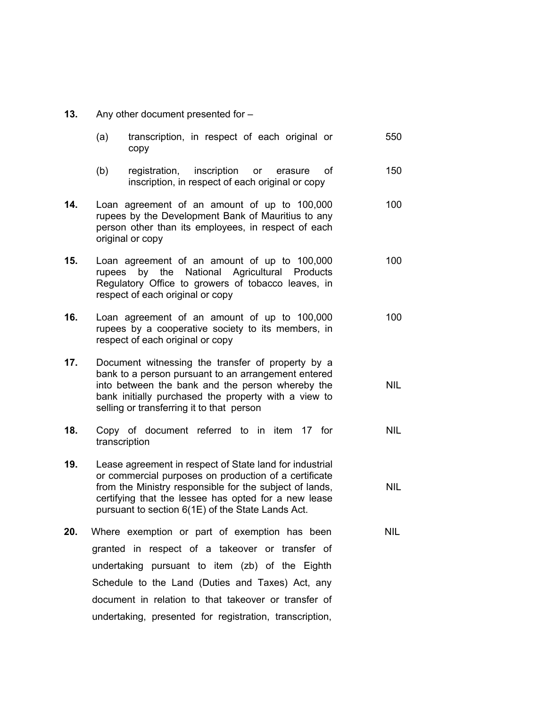**13.** Any other document presented for –

|     | (a)    | transcription, in respect of each original or<br>copy                                                                                                                                                                                                                                    | 550        |
|-----|--------|------------------------------------------------------------------------------------------------------------------------------------------------------------------------------------------------------------------------------------------------------------------------------------------|------------|
|     | (b)    | inscription<br>registration,<br>οf<br><b>or</b><br>erasure<br>inscription, in respect of each original or copy                                                                                                                                                                           | 150        |
| 14. |        | Loan agreement of an amount of up to 100,000<br>rupees by the Development Bank of Mauritius to any<br>person other than its employees, in respect of each<br>original or copy                                                                                                            | 100        |
| 15. | rupees | Loan agreement of an amount of up to 100,000<br>National<br>Agricultural<br>by<br>the<br>Products<br>Regulatory Office to growers of tobacco leaves, in<br>respect of each original or copy                                                                                              | 100        |
| 16. |        | Loan agreement of an amount of up to 100,000<br>rupees by a cooperative society to its members, in<br>respect of each original or copy                                                                                                                                                   | 100        |
| 17. |        | Document witnessing the transfer of property by a<br>bank to a person pursuant to an arrangement entered<br>into between the bank and the person whereby the<br>bank initially purchased the property with a view to<br>selling or transferring it to that person                        | <b>NIL</b> |
| 18. |        | Copy of document referred to in item 17 for<br>transcription                                                                                                                                                                                                                             | <b>NIL</b> |
| 19. |        | Lease agreement in respect of State land for industrial<br>or commercial purposes on production of a certificate<br>from the Ministry responsible for the subject of lands,<br>certifying that the lessee has opted for a new lease<br>pursuant to section 6(1E) of the State Lands Act. | <b>NIL</b> |
| 20. |        | Where exemption or part of exemption has been<br>granted in respect of a takeover or transfer of<br>undertaking pursuant to item (zb) of the Eighth<br>Schedule to the Land (Duties and Taxes) Act, any                                                                                  | <b>NIL</b> |

document in relation to that takeover or transfer of undertaking, presented for registration, transcription,